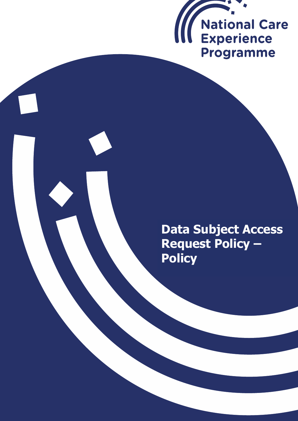

# **Data Subject Access Request Policy – Policy**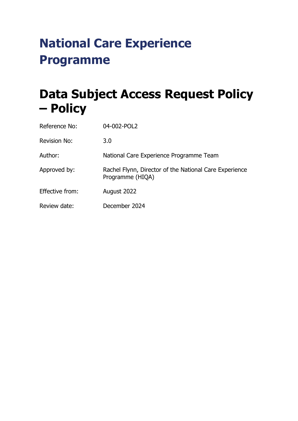# **National Care Experience Programme**

# **Data Subject Access Request Policy – Policy**

| Reference No:       | 04-002-POL2                                                                |
|---------------------|----------------------------------------------------------------------------|
| <b>Revision No:</b> | 3.0                                                                        |
| Author:             | National Care Experience Programme Team                                    |
| Approved by:        | Rachel Flynn, Director of the National Care Experience<br>Programme (HIQA) |
| Effective from:     | August 2022                                                                |
| Review date:        | December 2024                                                              |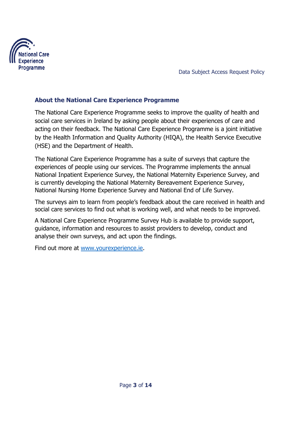

### **About the National Care Experience Programme**

The National Care Experience Programme seeks to improve the quality of health and social care services in Ireland by asking people about their experiences of care and acting on their feedback. The National Care Experience Programme is a joint initiative by the Health Information and Quality Authority (HIQA), the Health Service Executive (HSE) and the Department of Health.

The National Care Experience Programme has a suite of surveys that capture the experiences of people using our services. The Programme implements the annual National Inpatient Experience Survey, the National Maternity Experience Survey, and is currently developing the National Maternity Bereavement Experience Survey, National Nursing Home Experience Survey and National End of Life Survey.

The surveys aim to learn from people's feedback about the care received in health and social care services to find out what is working well, and what needs to be improved.

A National Care Experience Programme Survey Hub is available to provide support, guidance, information and resources to assist providers to develop, conduct and analyse their own surveys, and act upon the findings.

Find out more at [www.yourexperience.ie.](http://www.yourexperience.ie/)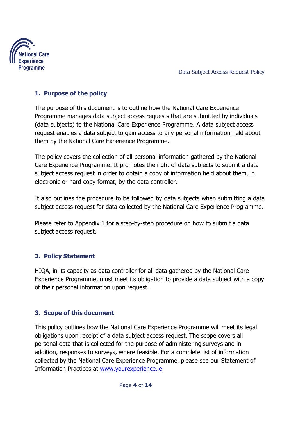

## **1. Purpose of the policy**

The purpose of this document is to outline how the National Care Experience Programme manages data subject access requests that are submitted by individuals (data subjects) to the National Care Experience Programme. A data subject access request enables a data subject to gain access to any personal information held about them by the National Care Experience Programme.

The policy covers the collection of all personal information gathered by the National Care Experience Programme. It promotes the right of data subjects to submit a data subject access request in order to obtain a copy of information held about them, in electronic or hard copy format, by the data controller.

It also outlines the procedure to be followed by data subjects when submitting a data subject access request for data collected by the National Care Experience Programme.

Please refer to Appendix 1 for a step-by-step procedure on how to submit a data subject access request.

# **2. Policy Statement**

HIQA, in its capacity as data controller for all data gathered by the National Care Experience Programme, must meet its obligation to provide a data subject with a copy of their personal information upon request.

# **3. Scope of this document**

This policy outlines how the National Care Experience Programme will meet its legal obligations upon receipt of a data subject access request. The scope covers all personal data that is collected for the purpose of administering surveys and in addition, responses to surveys, where feasible. For a complete list of information collected by the National Care Experience Programme, please see our Statement of Information Practices at [www.yourexperience.ie.](http://www.yourexperience.ie/)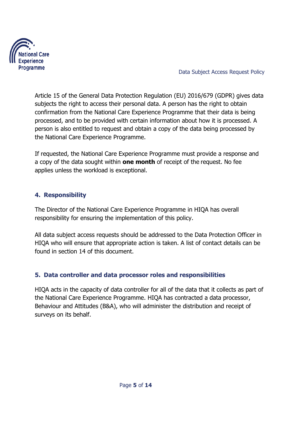

Article 15 of the General Data Protection Regulation (EU) 2016/679 (GDPR) gives data subjects the right to access their personal data. A person has the right to obtain confirmation from the National Care Experience Programme that their data is being processed, and to be provided with certain information about how it is processed. A person is also entitled to request and obtain a copy of the data being processed by the National Care Experience Programme.

If requested, the National Care Experience Programme must provide a response and a copy of the data sought within **one month** of receipt of the request. No fee applies unless the workload is exceptional.

## **4. Responsibility**

The Director of the National Care Experience Programme in HIQA has overall responsibility for ensuring the implementation of this policy.

All data subject access requests should be addressed to the Data Protection Officer in HIQA who will ensure that appropriate action is taken. A list of contact details can be found in section 14 of this document.

# **5. Data controller and data processor roles and responsibilities**

HIQA acts in the capacity of data controller for all of the data that it collects as part of the National Care Experience Programme. HIQA has contracted a data processor, Behaviour and Attitudes (B&A), who will administer the distribution and receipt of surveys on its behalf.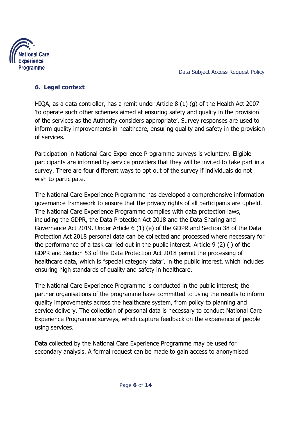

## **6. Legal context**

HIQA, as a data controller, has a remit under Article 8 (1) (g) of the Health Act 2007 'to operate such other schemes aimed at ensuring safety and quality in the provision of the services as the Authority considers appropriate'. Survey responses are used to inform quality improvements in healthcare, ensuring quality and safety in the provision of services.

Participation in National Care Experience Programme surveys is voluntary. Eligible participants are informed by service providers that they will be invited to take part in a survey. There are four different ways to opt out of the survey if individuals do not wish to participate.

The National Care Experience Programme has developed a comprehensive information governance framework to ensure that the privacy rights of all participants are upheld. The National Care Experience Programme complies with data protection laws, including the GDPR, the Data Protection Act 2018 and the Data Sharing and Governance Act 2019. Under Article 6 (1) (e) of the GDPR and Section 38 of the Data Protection Act 2018 personal data can be collected and processed where necessary for the performance of a task carried out in the public interest. Article 9 (2) (i) of the GDPR and Section 53 of the Data Protection Act 2018 permit the processing of healthcare data, which is "special category data", in the public interest, which includes ensuring high standards of quality and safety in healthcare.

The National Care Experience Programme is conducted in the public interest; the partner organisations of the programme have committed to using the results to inform quality improvements across the healthcare system, from policy to planning and service delivery. The collection of personal data is necessary to conduct National Care Experience Programme surveys, which capture feedback on the experience of people using services.

Data collected by the National Care Experience Programme may be used for secondary analysis. A formal request can be made to gain access to anonymised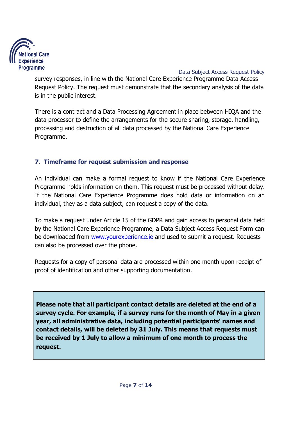

survey responses, in line with the National Care Experience Programme Data Access Request Policy. The request must demonstrate that the secondary analysis of the data is in the public interest.

There is a contract and a Data Processing Agreement in place between HIQA and the data processor to define the arrangements for the secure sharing, storage, handling, processing and destruction of all data processed by the National Care Experience Programme.

# **7. Timeframe for request submission and response**

An individual can make a formal request to know if the National Care Experience Programme holds information on them. This request must be processed without delay. If the National Care Experience Programme does hold data or information on an individual, they as a data subject, can request a copy of the data.

To make a request under Article 15 of the GDPR and gain access to personal data held by the National Care Experience Programme, a Data Subject Access Request Form can be downloaded from **www.yourexperience.ie** and used to submit a request. Requests can also be processed over the phone.

Requests for a copy of personal data are processed within one month upon receipt of proof of identification and other supporting documentation.

**Please note that all participant contact details are deleted at the end of a survey cycle. For example, if a survey runs for the month of May in a given year, all administrative data, including potential participants' names and contact details, will be deleted by 31 July. This means that requests must be received by 1 July to allow a minimum of one month to process the request.**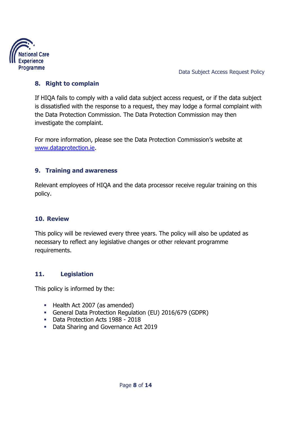

#### **8. Right to complain**

If HIQA fails to comply with a valid data subject access request, or if the data subject is dissatisfied with the response to a request, they may lodge a formal complaint with the Data Protection Commission. The Data Protection Commission may then investigate the complaint.

For more information, please see the Data Protection Commission's website at [www.dataprotection.ie.](http://www.dataprotection.ie/)

#### **9. Training and awareness**

Relevant employees of HIQA and the data processor receive regular training on this policy.

#### **10. Review**

This policy will be reviewed every three years. The policy will also be updated as necessary to reflect any legislative changes or other relevant programme requirements.

#### **11. Legislation**

This policy is informed by the:

- Health Act 2007 (as amended)
- General Data Protection Regulation (EU) 2016/679 (GDPR)
- Data Protection Acts 1988 2018
- Data Sharing and Governance Act 2019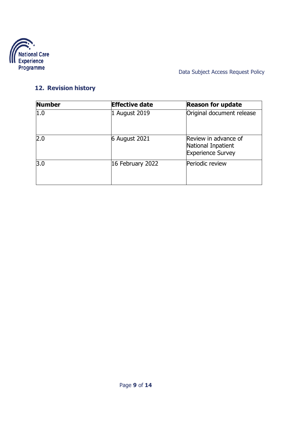

# **12. Revision history**

| <b>Number</b> | <b>Effective date</b> | <b>Reason for update</b>                                               |
|---------------|-----------------------|------------------------------------------------------------------------|
| 1.0           | 1 August 2019         | Original document release                                              |
| 2.0           | 6 August 2021         | Review in advance of<br>National Inpatient<br><b>Experience Survey</b> |
| 3.0           | 16 February 2022      | Periodic review                                                        |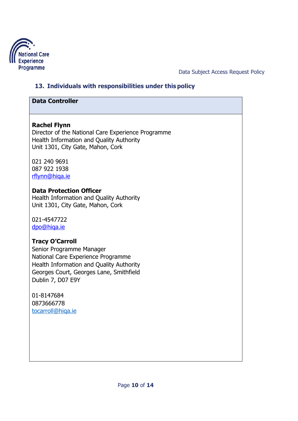

# **13. Individuals with responsibilities under this policy**

#### **Data Controller**

#### **Rachel Flynn**

Director of the National Care Experience Programme Health Information and Quality Authority Unit 1301, City Gate, Mahon, Cork

021 240 9691 087 922 1938 [rflynn@hiqa.ie](mailto:rflynn@hiqa.ie)

#### **Data Protection Officer**

Health Information and Quality Authority Unit 1301, City Gate, Mahon, Cork

021-4547722 [dpo@hiqa.ie](mailto:dpo@hiqa.ie)

#### **Tracy O'Carroll**

Senior Programme Manager National Care Experience Programme Health Information and Quality Authority Georges Court, Georges Lane, Smithfield Dublin 7, D07 E9Y

01-8147684 0873666778 [tocarroll@hiqa.ie](mailto:tocarroll@hiqa.ie)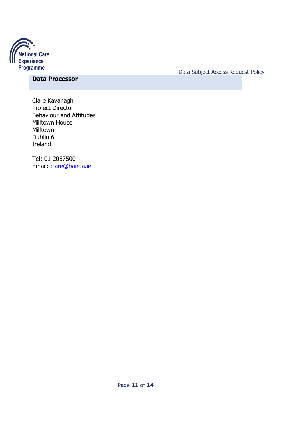

# **Data Processor**

Clare Kavanagh Project Director Behaviour and Attitudes Milltown House Milltown Dublin 6 Ireland

Tel: 01 2057500 Email: [clare@banda.ie](mailto:clare@banda.ie)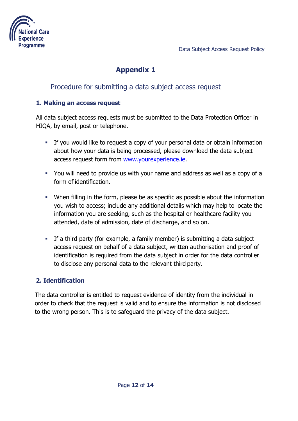



# **Appendix 1**

# Procedure for submitting a data subject access request

#### **1. Making an access request**

All data subject access requests must be submitted to the Data Protection Officer in HIQA, by email, post or telephone.

- If you would like to request a copy of your personal data or obtain information about how your data is being processed, please download the data subject access request form from [www.yourexperience.ie.](http://www.yourexperience.ie/)
- You will need to provide us with your name and address as well as a copy of a form of identification.
- When filling in the form, please be as specific as possible about the information you wish to access; include any additional details which may help to locate the information you are seeking, such as the hospital or healthcare facility you attended, date of admission, date of discharge, and so on.
- If a third party (for example, a family member) is submitting a data subject access request on behalf of a data subject, written authorisation and proof of identification is required from the data subject in order for the data controller to disclose any personal data to the relevant third party.

#### **2. Identification**

The data controller is entitled to request evidence of identity from the individual in order to check that the request is valid and to ensure the information is not disclosed to the wrong person. This is to safeguard the privacy of the data subject.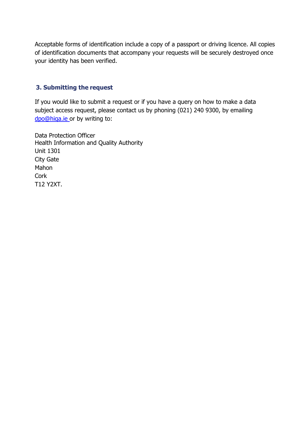Acceptable forms of identification include a copy of a passport or driving licence. All copies of identification documents that accompany your requests will be securely destroyed once your identity has been verified.

#### **3. Submitting the request**

If you would like to submit a request or if you have a query on how to make a data subject access request, please contact us by phoning (021) 240 9300, by emailing [dpo@hiqa.ie o](mailto:dpo@hiqa.ie)r by writing to:

Data Protection Officer Health Information and Quality Authority Unit 1301 City Gate Mahon **Cork** T12 Y2XT.